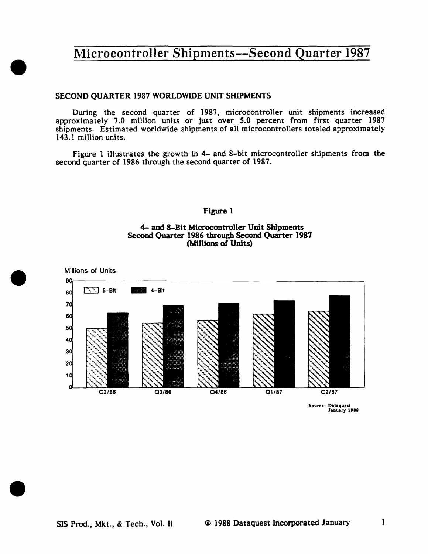### SECOND QUARTER 1987 WORLDWIDE UNIT SHIPMENTS

•

•

•

During the second quarter of 1987, microcontroller unit shipments increased approximately 7 .0 million units or just over *5.0* percent from first quarter 1987 shipments. Estimated worldwide shipments of all microcontrollers totaled approximately 143.1 million units.

Figure 1 illustrates the growth in 4- and 8-bit microcontroller shipments from the second quarter of 1986 through the second quarter of 1987.

### Figure 1

### 4- and 8-Bit Microcontroller Unit Shipments Second Quarter 1986 through Second Quarter 1987 (Millions of Units)



Source: Dataquest January 1988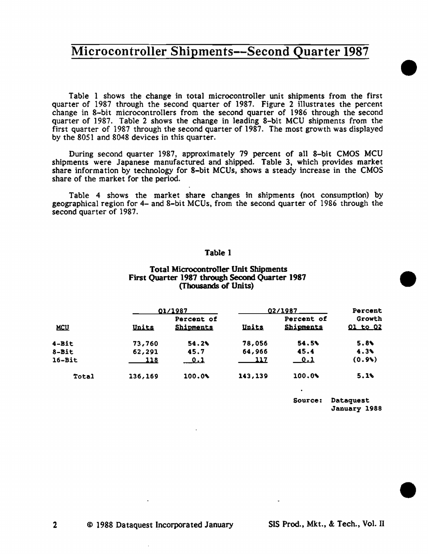Table 1 shows the change in total microcontroller unit shipments from the first quarter of 1987 through the second quarter of 1987. Figure 2 illustrates the percent change in 8-bit microcontrollers from the second quarter of 1986 through the second quarter of 1987. Table 2 shows the change in leading 8-bit MCU shipments from the first quarter of 1987 through the second quarter of 1987. The most growth was displayed by the 8051 and 8048 devices in this quarter.

During second quarter 1987, approximately 79 percent of all 8-bit CMOS MCU shipments were Japanese manufactured and shipped. Table 3, which provides market share information by technology for 8-bit MCUs, shows a steady increase in the CMOS share of the market for the period.

Table 4 shows the market share changes in shipments (not consumption) by geographical region for 4- and 8-bit MCUs, from the second quarter of 1986 through the second quarter of 1987.

### Table 1

### Total Microcontroller Unit Shipments First Quarter 1987 through Second Quarter 1987 (Thousands of Units)

|            |             | 01/1987                        |             | 02/1987                        |                           |  |
|------------|-------------|--------------------------------|-------------|--------------------------------|---------------------------|--|
| <u>MCU</u> | Units       | Percent of<br><b>Shipments</b> | Units       | Percent of<br><b>Shipments</b> | Growth<br><u>01 to 02</u> |  |
| $4 - B1t$  | 73,760      | 54.2%                          | 78,056      | 54.5%                          | 5.8%                      |  |
| $8 - Bit$  | 62,291      | 45.7                           | 64,966      | 45.4                           | 4.3%                      |  |
| $16 - Bit$ | <u> 118</u> | $\overline{\mathfrak{0.1}}$    | <u> 117</u> | $\overline{\phantom{0}}$ 0.1   | (0.9)                     |  |
| Total      | 136,169     | 100.0%                         | 143,139     | 100.0%                         | $5.1\%$                   |  |

Source: Oataquest January 1988 •

•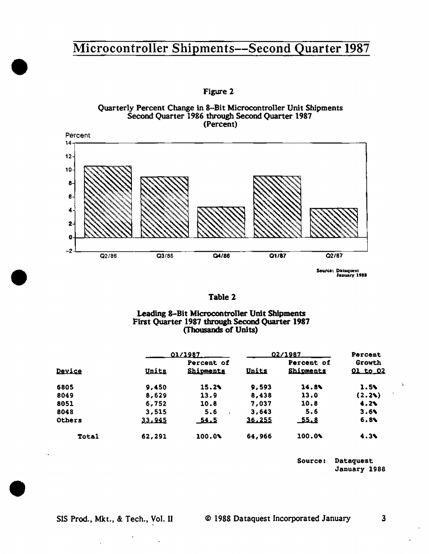Figure 2





| D). |  |
|-----|--|
|-----|--|

### Leading 8-Bit Microcontroller Unit Shipments First Quarter 1987 through Second Quarter 1987 (Thousands of Units)

|               | <u>01/1987</u> |                         | 02/1987      | Percent                        |                    |
|---------------|----------------|-------------------------|--------------|--------------------------------|--------------------|
| Device        | Units          | Percent of<br>Shipments | <u>Units</u> | Percent of<br><b>Shipments</b> | Growth<br>01 to 02 |
| 6805          | 9.450          | 15.2%                   | 9,593        | 14.8%                          | 1.5%               |
| 8049          | 8,629          | 13.9                    | 8,438        | 13.0                           | (2.2)              |
| 8051          | 6,752          | 10.8                    | 7,037        | 10.8                           | 4.24               |
| 8048          | 3,515          | 5.6                     | 3,643        | 5.6                            | 3.6                |
| <b>Others</b> | 33,945         | <u> 54ء ک</u>           | 36,255       | <u>55.8</u>                    | 6.8%               |
| <b>Total</b>  | 62,291         | 100.0%                  | 64,966       | 100.0%                         | 4.3%               |

Source: Dataquest January 1988  $\overline{\mathbf{z}}$ 

 $\ddot{\phantom{a}}$ 

 $\blacksquare$ 

 $\ddot{\phantom{a}}$ 

•

•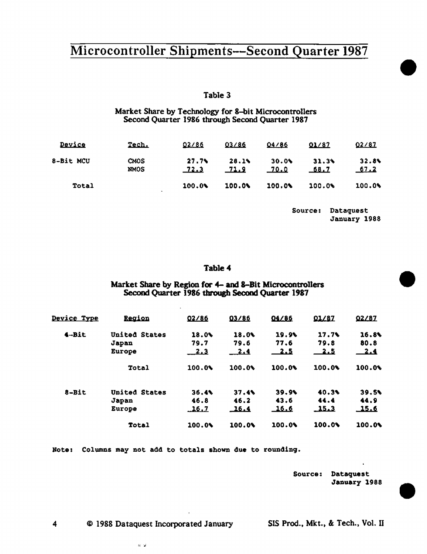### Table 3

Market Share by Technology for 8-bit Microconttollers Second Quarter 1986 through Second Quarter 1987

| Device       | Tech.               | 02/86            | 03/86               | 04/86         | 01/87         | 02/87        |
|--------------|---------------------|------------------|---------------------|---------------|---------------|--------------|
| 8-Bit MCU    | CMOS<br><b>NMOS</b> | 27.79<br>$-72.3$ | 28.1<br><u>71.9</u> | 30.06<br>70.0 | 31.3%<br>68.7 | 32.8<br>67.2 |
| <b>Total</b> |                     | 100.04           | 100.0%              | 100.0%        | 100.0%        | 100.0%       |

Source: Dataquest January 1988 •

•

•

#### Table4

### Market Share by Region for 4- and 8-Bit Microcontrotlers Second Quarter 1986 through Second Quarter 1987

| <u>Device Type</u> | <b>Region</b>        | 02/86        | 03/86  | 04/86      | 01/87       | 02/87      |
|--------------------|----------------------|--------------|--------|------------|-------------|------------|
| 4-Bit              | United States        | 18.0%        | 18.0%  | 19.9%      | 17.7        | 16.8%      |
|                    | Japan                | 79.7         | 79.6   | 77.6       | 79.8        | 80.8       |
|                    | <b>Europe</b>        | 2.3          | $-2.4$ | <u>2.5</u> | <u> 2.5</u> | <u>2.4</u> |
|                    | Total                | 100.04       | 100.04 | 100.0%     | 100.0%      | 100.0%     |
| 8-Bit              | <b>United States</b> | 36.4         | 37.4   | 39.9       | 40.3%       | 39.5       |
|                    | Japan                | 46.8         | 46.2   | 43.6       | 44.4        | 44.9       |
|                    | Europe               | <u> 16.7</u> | 16.4   | 16.6       | 15.3        | 15.6       |
|                    | <b>Total</b>         | 100.0%       | 100.0% | 100.0%     | 100.0%      | 100.0%     |
|                    |                      |              |        |            |             |            |

Note: Columns may not add to totals shown due to rounding.

Source: Dataquest January 1988

4 © 1988 Dataquest Incorporated January SIS Prod., Mkt., & Tech., Vol. II

a si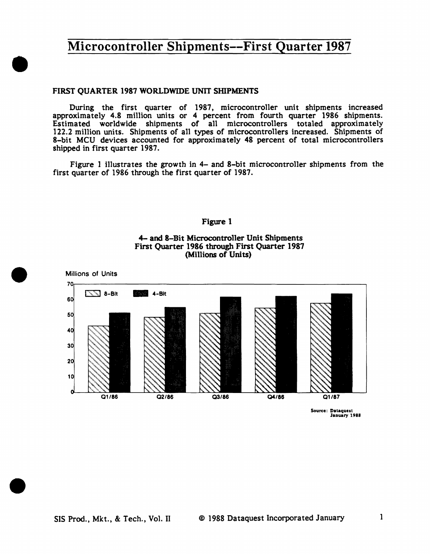### FIRST QUARTER 1987 WORLDWIDE UNIT SHIPMENTS

•

•

•

During the first quarter of 1987, microcontroller unit shipments increased approximately 4.8 million units or 4 percent from fourth quarter 1986 shipments. Estimated worldwide shipments of all microcontrollers totaled approximately 122.2 million units. Shipments of all types of microcontrollers increased. Shipments of 8-bit MCU devices accounted for approximately 48 percent of total microcontrollers shipped in first quarter 1987.

Figure 1 illustrates the growth in 4- and 8-bit microcontroller shipments from the first quarter of 1986 through the first quarter of 1987.

#### Figure 1





Source: Dataquest<br>January 1988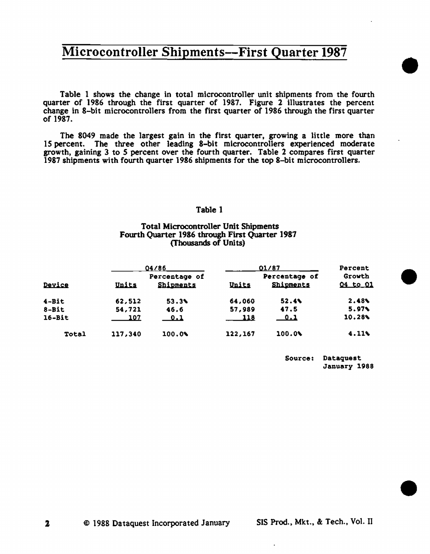Table 1 shows the change in total microcontroller unit shipments from the fourth quarter of 1986 through the first quarter of 1987. Figure 2 illustrates the percent change in 8-bit microcontrollers from the first quarter of 1986 through the first quarter or 1987.

The 8049 made the largest gain in the first quarter, growing a little more than 15 percent. The three other leading 8-bit microcontrollers experienced moderate growth, gaining 3 to *5* percent over the fourth quarter. Table 2 compares first quarter 1987 shipments with fourth quarter 1986 shipments for the top 8-bit microcontrollers.

#### Table 1

### Total Microcontroller Unit Shipments Fourth Quarter 1986 through First Quarter 1987 (Thousands of Units)

|              |         | 04/86                      |         | 01/87                             |                           |  |
|--------------|---------|----------------------------|---------|-----------------------------------|---------------------------|--|
| Device       | Units   | Percentage of<br>Shipments | Units   | Percentage of<br><b>Shipments</b> | Growth<br><u>04 to 01</u> |  |
| $4 - Bit$    | 62,512  | 53.3%                      | 64,060  | 52.4%                             | 2.48%                     |  |
| 8-Bit        | 54,721  | 46.6                       | 57,989  | 47.5                              | 5.97%                     |  |
| $16 - Bit$   | 107     | <u>0.1</u>                 | 118     | _0.1                              | 10.28%                    |  |
| <b>Total</b> | 117,340 | 100.08                     | 122,167 | 100.09                            | 4.11                      |  |

Source: Dataquest January 1988 •

•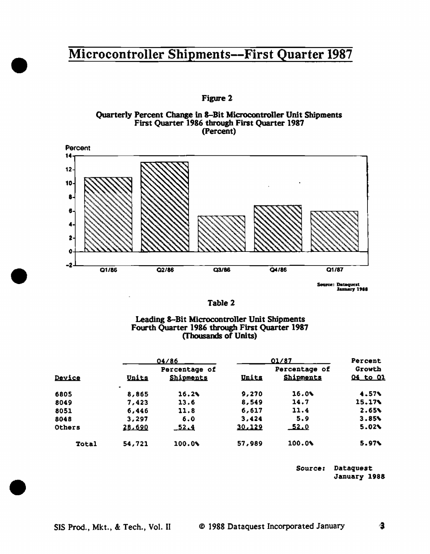•

•

•

Figure 2





Tab1e 2

### Leading 8-Bit Microcontro1ler Unit Shipments Fourth Quarter 1986 through First Quarter 1987 (Thousands of Units)

|              | 04/86              |                            |              | 01/87                      |                    |  |
|--------------|--------------------|----------------------------|--------------|----------------------------|--------------------|--|
| Device       | Units              | Percentage of<br>Shipments | <u>Units</u> | Percentage of<br>Shipments | Growth<br>04 to 01 |  |
| 6805         | $\bullet$<br>8,865 | 16.2%                      | 9,270        | 16.0%                      | 4.57%              |  |
| 8049         | 7,423              | 13.6                       | 8,549        | 14.7                       | 15.17%             |  |
| 8051         | 6,446              | 11.8                       | 6,617        | 11.4                       | 2.65%              |  |
| 8048         | 3,297              | 6.0                        | 3,424        | 5.9                        | 3.85%              |  |
| Others       | 28,690             | $-52.4$                    | 30.129       | 52.0                       | 5.02%              |  |
| <b>Total</b> | 54,721             | 100.0%                     | 57,989       | 100.0%                     | 5.97               |  |

Source: Dataquest January 1988

像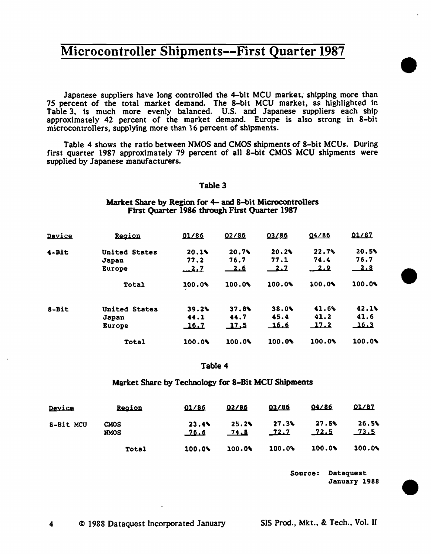Japanese suppliers have long controlled the 4-bit MCU market, shipping more than 75 percent of the total market demand. The 8-bit MCU market, as highlighted in Table 3, is much more evenly balanced. U.S. and Japanese suppliers each ship approximately 42 percent of the market demand. Europe is also strong in 8-bit microcontrollers, supplying more than 16 percent of shipments.

Table 4 shows the ratio between NMOS and CMOS shipments of 8-bit MCUs. During first quarter 1987 approximately 79 percent of all 8-bit CMOS MCU shipments were supplied by Japanese manufacturers.

### Table 3

#### Market Share by Region for 4- and 8-bit Microcontrollers First Quarter 1986 through First Quarter 1987

| Region               | 01/86        | 02/86        | 03/86        | 04/86       | 01/87        |
|----------------------|--------------|--------------|--------------|-------------|--------------|
| <b>United States</b> | 20.14        | 20.79        | 20.2         | $22.7$ %    | 20.5%        |
| Japan                | 77.2         | 76.7         | 77.1         | 74.4        | 76.7         |
| <b>Europe</b>        | -2.7         | $-2.6$       |              |             | <u>2.8</u>   |
| Total                | 100.04       | 100.06       | 100.0%       | 100.0%      | 100.0%       |
| United States        | 39.2%        | 37.84        | 38.0%        | 41.6%       | 42.1%        |
|                      | 44.1         | 44.7         | 45.4         | 41.2        | 41.6         |
| Europe               | <u>_16.7</u> | <u>_17.5</u> | <u> 16.6</u> | <u>17.2</u> | <u>_16.3</u> |
| <b>Total</b>         | 100.0        | 100.0%       | 100.0%       | 100.0%      | 100.08       |
|                      | Japan        |              |              |             |              |

#### Table4

#### Market Share by Technology for 8-Bit MCU Shipments

| Device    | <b>Region</b>       | 01/86                | 02/86         | 03/86            | 04/86         | 01/87            |
|-----------|---------------------|----------------------|---------------|------------------|---------------|------------------|
| 8-Bit MCU | CMOS<br><b>NMOS</b> | 23.4%<br><u>76.6</u> | 25.2%<br>74.8 | 27.3%<br>$-72.7$ | 27.5%<br>72.5 | 26.5%<br>$-73.5$ |
|           | <b>Total</b>        | 100.0%               | 100.0%        | 100.0%           | 100.06        | 100.0%           |

Source: Dataquest January 1988 •

•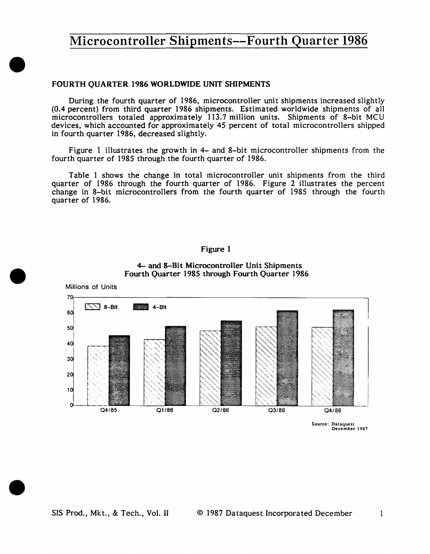### FOURTH QUARTER 1986 WORLDWIDE UNIT SIIlPMENTS

•

•

•

During the fourth quarter of 1986, microcontroller unit shipments increased slightly (0.4 percent) from third quarter 1986 shipments. Estimated worldwide shipments of all microcontrollers totaled approximately 113.7 million units. Shipments of 8-bit MCU devices, which accounted for approximately 45 percent of total microcontrollers shipped in fourth quarter 1986, decreased slightly.

Figure 1 illustrates the growth in 4- and 8-bit microcontroller shipments from the fourth quarter of 1985 through the fourth quarter of 1986.

Table 1 shows the change in total microcontroller unit shipments from the third quarter of 1986 through the fourth quarter of 1986. Figure 2 illustrates the percent change in 8-bit microcontrollers from the fourth quarter of 1985 through the fourth quarter of 1986.

### Figure 1



### 4- and 8-Bit Microcontroller Unit Shipments Fourth Quarter 1985 through Fourth Quarter 1986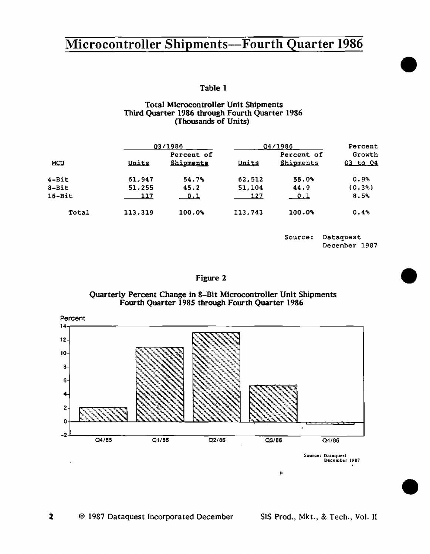Table I

### Total Microcontroller Unit Shipments Third Quarter 1986 through Fourth Quarter 1986 (Thousands of Units)

|            |              | 03/1986                 |         | 04/1986                 |                    |  |
|------------|--------------|-------------------------|---------|-------------------------|--------------------|--|
| <u>MCU</u> | <u>Units</u> | Percent of<br>Shipments | Units   | Percent of<br>Shipments | Growth<br>03 to 04 |  |
| $4 - Bit$  | 61,947       | 54.7%                   | 62,512  | 55.0%                   | 0.9%               |  |
| $8 - Bit$  | 51,255       | 45.2                    | 51,104  | 44.9                    | (0.3)              |  |
| $16 - Bit$ | 117          | 0.1                     | 127     | <u>_ 0.1</u>            | 8.5%               |  |
| Total      | 113,319      | 100.09                  | 113,743 | 100.0%                  | 0.4%               |  |

Source: Dataquest December 1987 •

•

### Figure 2

#### Quarterly Percent Change in 8-Bit Microcontroller Unit Shipments Fourth Quarter 1985 through Fourth Quarter 1986



© 1987 Dataquest Incorporated December SIS Prod., Mkt., & Tech., Vol. II

2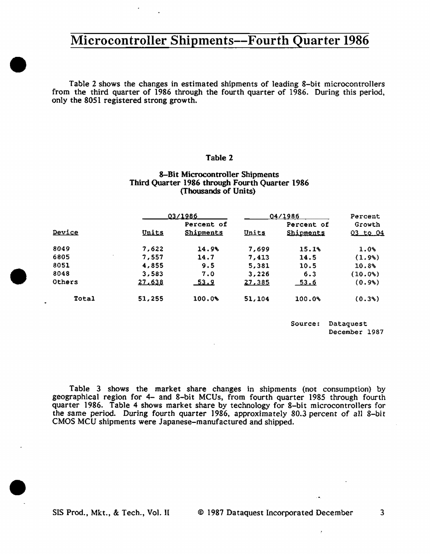Table 2 shows the changes in estimated shipments of leading 8-bit microcontrollers from the third quarter of 1986 through the fourth quarter of 1986. During this period, only the 8051 registered strong growth.

### Table 2

#### 8-Bit Microcontroller Shipments Third Quarter 1986 through Fourth Quarter 1986 (Thousands of Units)

|        |        | 03/1986          |        | 04/1986    |                 |  |
|--------|--------|------------------|--------|------------|-----------------|--|
|        |        | Percent of       |        | Percent of | Growth          |  |
| Device | Units  | <b>Shipments</b> | Units  | Shipments  | <u>03 to 04</u> |  |
| 8049   | 7,622  | 14.9%            | 7.699  | 15.1%      | 1.0%            |  |
| 6805   | 7,557  | 14.7             | 7,413  | 14.5       | (1.9)           |  |
| 8051   | 4,855  | 9.5              | 5,381  | 10.5       | 10.8%           |  |
| 8048   | 3,583  | 7.0              | 3,226  | 6.3        | (10.0)          |  |
| Others | 27,638 | <u>53.9</u>      | 27,385 | 53.6       | (0.9%           |  |
| Total  | 51,255 | 100.09           | 51,104 | 100.0%     | $(0.3\%)$       |  |

Source: Dataquest December 1987

Table 3 shows the market share changes in shipments (not consumption) by geographical region for 4- and 8-bit MCUs, from fourth quarter 1985 through fourth quarter 1986. Table 4 shows market share by technology for 8-bit microcontrollers for the same period. During fourth quarter 1986, approximately 80.3 percent of all 8-bit CMOS MCU shipments were Japanese-manufactured and shipped.

•

•

 $\bullet$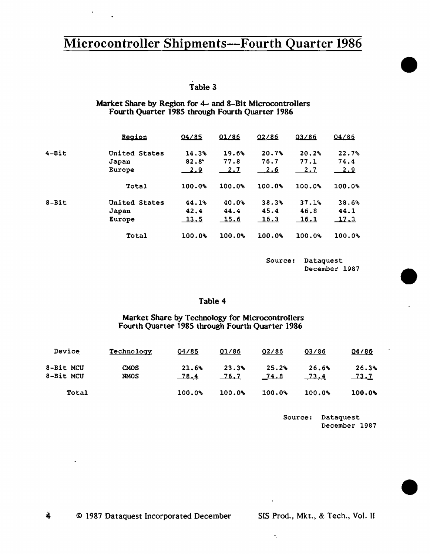Table 3

 $\mathbf{r}$ 

Market Share by Region for 4- and 8-Bit Microcontrollers Fourth Quarter 1985 through Fourth Quarter 1986

|            | Region        | 04/85          | 01/86      | 02/86  | 03/86  | 04/86       |
|------------|---------------|----------------|------------|--------|--------|-------------|
| $4 - Bit$  | United States | 14.3%          | 19.6%      | 20.7%  | 20.2%  | 22.7%       |
|            | Japan         | $82.8^{\circ}$ | 77.8       | 76.7   | 77.1   | 74.4        |
|            | Europe        | <u>2.9</u>     | <u>2.1</u> | 2.6    | 2.7    | <u>2.9</u>  |
|            | Total         | 100.0%         | 100.0%     | 100.0% | 100.0% | 100.0%      |
| $8 - B$ it | United States | 44.1%          | 40.0%      | 38.3%  | 37.1%  | 38.6%       |
|            | Japan         | 42.4           | 44.4       | 45.4   | 46.8   | 44.1        |
|            | Europe        | <u> 13.5</u>   | 15.6       | 16.3   | 16.1   | <u>17.3</u> |
|            | Total         | 100.0%         | 100.0%     | 100.0% | 100.0% | 100.0%      |

Source: Dataquest December 1987 •

•

•

## Table 4

Market Share by Technology for Microcontrollers Fourth Quarter 1985 through Fourth Quarter 1986

| <b>Device</b>          | Technology   | 04/85         | 01/86         | 02/86                | 03/86         | 04/86                |
|------------------------|--------------|---------------|---------------|----------------------|---------------|----------------------|
| 8-Bit MCU<br>8-Bit MCU | CMOS<br>NMOS | 21.6%<br>78.4 | 23.3%<br>76.7 | 25.2%<br><u>74.8</u> | 26.6%<br>73.4 | 26.3%<br><u>73.7</u> |
| Total                  |              | 100.0%        | 100.0%        | 100.0%               | 100.0%        | 100.0%               |

Source: Dataquest December 1987

 $\ddot{\phantom{0}}$ 

÷,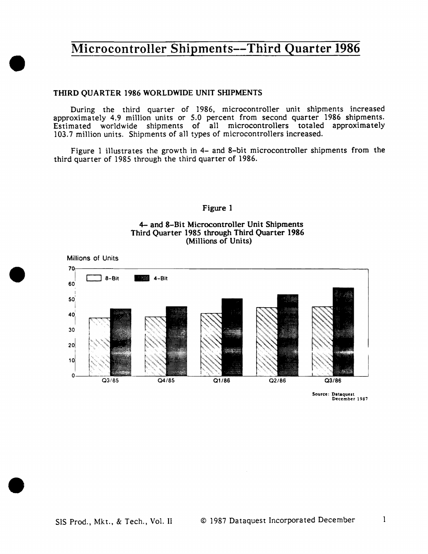### THIRD QUARTER 1986 WORLDWIDE UNIT SHIPMENTS

•

•

•

During the third quarter of 1986, microcontroller unit shipments increased approximately 4.9 mi11ion units or 5.0 percent from second quarter 1986 shipments. Estimated worldwide shipments of all microcontrollers totaled approximately 103.7 million units. Shipments of all types of microcontrollers increased.

Figure l illustrates the growth in 4- and 8-bit microcontroller shipments from the third quarter of 1985 through the third quarter of 1986.

#### Figure 1

### 4- and 8-Bit Microcontroller Unit Shipments Third Quarter 1985 through Third Quarter 1986 (Millions of Units)



Source: Dataquest December 1987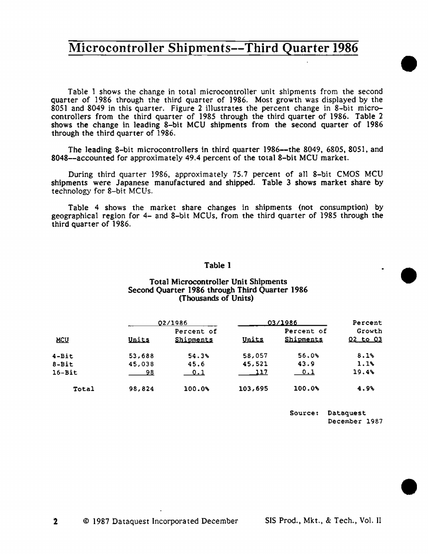Table 1 shows the change in total microcontroller unit shipments from the second quarter of 1986 through the third quarter of 1986. Most growth was displayed by the 8051 and 8049 in this quarter. Figure 2 i11ustrates the percent change in 8-bit microcontro1lers from the third quarter of 1985 through the third quarter of 1986. Table 2 shows the change in leading 8-bit MCU shipments from the second quarter of 1986 through the third quarter of 1986.

The leading 8-bit microcontrollers in third quarter 1986-the 8049, 6805, 8051, and 8048-accounted for approximately 49.4 percent of the total 8-bit MCU market.

During third quarter 1986, approximately 75.7 percent of all 8-bit CMOS MCU shipments were Japanese manufactured and shipped. Table 3 shows market share by technology for 8-bit MCUs.

Table 4 shows the market share changes in shipments (not consumption) by geographical region for 4- and 8-bit MCUs, from the third quarter of 1985 through the third quarter of 1986.

### Table 1

### Total Microcontroller Unit Shipments Second Quarter 1986 through Third Quarter 1986 (Thousands of Units)

|            |        | 02/1986                 |         | 03/1986                      | Percent                |
|------------|--------|-------------------------|---------|------------------------------|------------------------|
| <u>NCU</u> | Units  | Percent of<br>Shipments | Units   | Percent of<br>Shipments      | Growth<br>$Q2$ to $Q3$ |
| $4 - Bit$  | 53,688 | 54.3%                   | 58,057  | 56.0%                        | 8.1%                   |
| $8-Bit$    | 45,038 | 45.6                    | 45,521  | 43.9                         | 1.1%                   |
| $16 - Bit$ | 98     | 0.1                     | 117     | $\overline{\phantom{0}}$ 0.1 | 19.4%                  |
| Total      | 98,824 | 100.09                  | 103,695 | $100.0\%$                    | 4.9%                   |

Source: Dataquest December 1987 •

•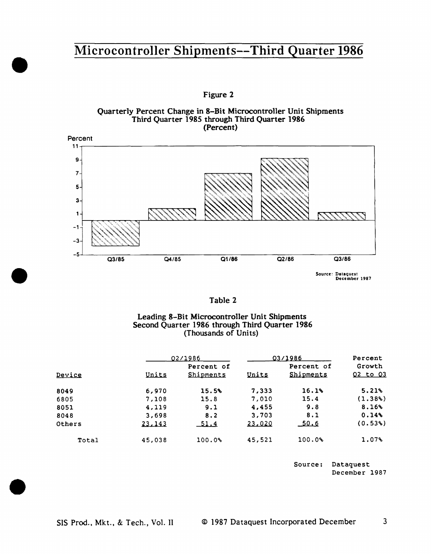Figure 2





Source: Dataquest<br>December 1987

| 'able |
|-------|
|-------|

### Leading 8-Bit Microcontro11er Unit Shipments Second Quarter 1986 through Third Quarter 1986 (Thousands of Units)

|        |         | 02/1986                 |        | 03/1986                 | Percent                   |
|--------|---------|-------------------------|--------|-------------------------|---------------------------|
| Device | Units   | Percent of<br>Shipments | Units  | Percent of<br>Shipments | Growth<br><u>Q2 to Q3</u> |
| 8049   | 6,970   | 15.5%                   | 7,333  | 16.1%                   | 5.21%                     |
| 6805   | 7,108   | 15.8                    | 7,010  | 15.4                    | (1.38%)                   |
| 8051   | 4,119   | 9.1                     | 4,455  | 9.8                     | 8.16%                     |
| 8048   | 3,698   | 8.2                     | 3,703  | 8.1                     | 0.14%                     |
| Others | 23, 143 | 51.4                    | 23,020 | 50.6                    | (0.53)                    |
| Total  | 45,038  | 100.0%                  | 45,521 | 100.0%                  | $1.07\%$                  |

Source: Dataquest December 1987

•

•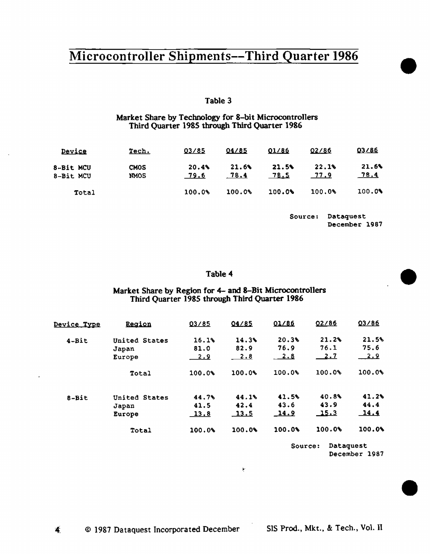### Table 3

### Market Share by Teclmology for 8-bit Microcontro1lers Third Quarter 1985 through Third Quarter 1986

| Device                 | Tech.               | 03/85         | 04/85         | 01/86         | 02/86         | 03/86         |
|------------------------|---------------------|---------------|---------------|---------------|---------------|---------------|
| 8-Bit MCU<br>8-Bit MCU | <b>CMOS</b><br>NMOS | 20.4%<br>79.6 | 21.6%<br>78.4 | 21.5%<br>78.S | 22.1%<br>77.9 | 21.6%<br>78.4 |
| Total                  |                     | 100.0%        | 100.0%        | 100.0%        | 100.0%        | 100.0%        |

Source: Dataquest December 1987

### Table 4

### Market Share by Region for 4- and 8-Bit Microcontrollers Third Quarter 1985 through Third Quarter 1986

| <u>Device Type</u> | Region        | 03/85       | 04/85       | 01/86   | 02/86      | 03/86  |
|--------------------|---------------|-------------|-------------|---------|------------|--------|
| $4 - Bit$          | United States | 16.1%       | 14.3%       | 20.39   | 21.2%      | 21.5%  |
|                    | Japan         | 81.0        | 82.9        | 76.9    | 76.1       | 75.6   |
|                    | Europe        | <u>2.9</u>  | <b>2.8</b>  | 2.8     | <u>2.7</u> | 2.9    |
|                    | Total         | 100.0%      | 100.0%      | 100.04  | 100.0%     | 100.0% |
| 8-Bit              | United States | 44.7%       | 44.1%       | 41.5%   | 40.8%      | 41.2%  |
|                    | Japan         | 41.5        | 42.4        | 43.6    | 43.9       | 44.4   |
|                    | Europe        | <u>13.8</u> | <u>13.5</u> | 14.9    | 15.3       | 14.4   |
|                    | Total         | 100.0%      | 100.06      | 100.0%  | 100.06     | 100.08 |
|                    |               |             |             | Source: | Dataquest  |        |

!t"

December 1987

•

•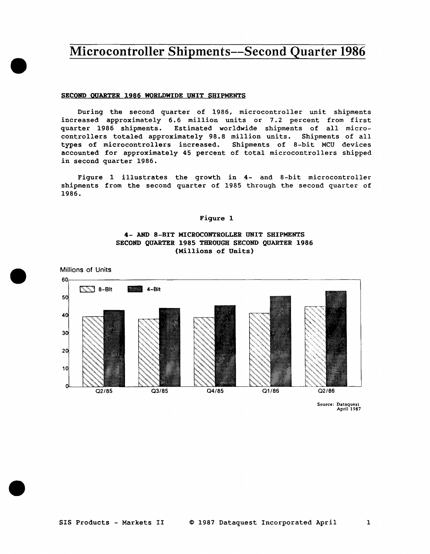#### SECOND QUARTER 1986 WORLDWIDE UNIT SHIPMENTS

During the second quarter of 1986, microcontroller unit shipments increased approximately 6.6 million units or 7.2 percent from first quarter 1986 shipments. Estimated worldwide shipments of all microcontrollers totaled approximately 98.8 million units. Shipments of all types of microcontrollers increased. Shipments of 8-bit MCU devices accounted for approximately 45 percent of total microcontrollers shipped in second quarter 1986.

Figure 1 illustrates the growth in 4- and 8-bit microcontroller shipments from the second quarter of 1985 through the second quarter of 1986.

#### Figure 1

#### **4- AND** 8-BIT MICROCOHTROLLER UNIT SHIPMENTS SECOND QUARTER 1985 THROUGH SECOND QUARTER 1986 (Millions of Units)



•

Millions of Units

•

•

Source: Dataquest April 1987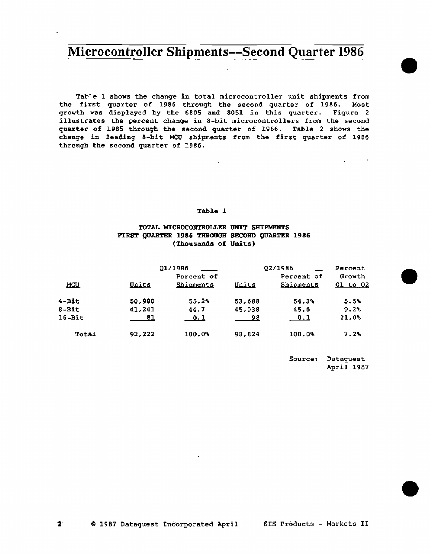$\mathcal{A}^{\mathcal{A}}$ 

Table l shows the change in total microcontroller unit shipments from the first quarter of 1986 through the second quarter of 1986, Most growth was displayed by the 6805 and 8051 in this quarter. Figure 2 illustrates the percent change in 8-bit microcontrollers from the second quarter of 1985 through the second quarter of 1986. Table 2 shows the change in leading 8-bit MCU shipments from the first quarter of <sup>1986</sup> through the second quarter of 1986.

#### Table l

#### TOTAL MICROCONTROLLER UNIT SHIPMENTS FIRST QUARTER 1986 THROUGH SECOND QUARTER 1986 (Thousands of Units)

|              |        | 01/1986                 |        | 02/1986                             | Percent                   |
|--------------|--------|-------------------------|--------|-------------------------------------|---------------------------|
| <b>MCU</b>   | Units  | Percent of<br>Shipments | Units  | Percent of<br>Shipments             | Growth<br><u>01 to 02</u> |
| $4 - Bit$    | 50,900 | 55.2%                   | 53,688 | 54.3%                               | 5.5%                      |
| $8 - Bit$    | 41,241 | 44.7                    | 45,038 | 45.6                                | 9.2%                      |
| $16 - Bit$   | 81     | <u>0.1</u>              | 98     | $\begin{array}{cc} 0.1 \end{array}$ | 21.0%                     |
| <b>Total</b> | 92,222 | 100.0%                  | 98.824 | 100.0%                              | 7.2%                      |

Source: Dataquest April 1987 •

•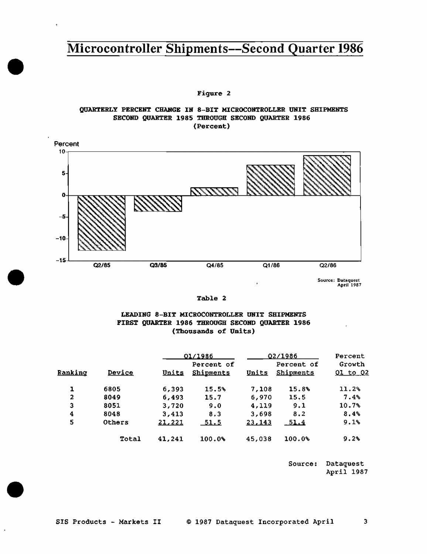Figure 2

•

•

•

#### QUARTERLY PERCENT CHARGE IN 8-BIT MICROCONTROLLER UNIT SHIPMENTS SECOND QUARTER 1985 THROUGH SECOND QUARTER 1986 (Percent)



Source: Dataquest<br>April 1987

Table 2

### LEADING 8-BIT MICROCONTROLLBR UNIT SHIPMENTS FIRST QUARTER 1986 THROUGH SECOND QUARTER 1986 (Thousands of Units)

|         |        |               | 01/1986                        |        | 02/1986                 |                           |  |
|---------|--------|---------------|--------------------------------|--------|-------------------------|---------------------------|--|
| Ranking | Device | Units         | Percent of<br><b>Shipments</b> | Units  | Percent of<br>Shipments | Growth<br><u>01 to 02</u> |  |
|         | 6805   | 6,393         | 15.5%                          | 7,108  | 15.8%                   | 11.2%                     |  |
| 2       | 8049   | 6,493         | 15.7                           | 6,970  | 15.5                    | $7.4\%$                   |  |
| з       | 8051   | 3,720         | 9.0                            | 4,119  | 9.1                     | 10.7%                     |  |
| 4       | 8048   | 3,413         | 8.3                            | 3,698  | 8.2                     | 8.4%                      |  |
| 5       | Others | <u>21,221</u> | <u>-51.5</u>                   | 23,143 | <u>51.4</u>             | 9.1%                      |  |
|         | Total  | 41,241        | 100.0%                         | 45,038 | 100.0%                  | 9.2%                      |  |

Source: Dataquest April 1987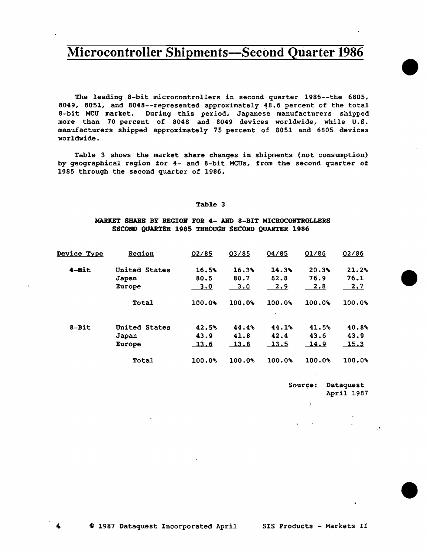The leading 8-bit microcontrollers in second quarter 1986--the 6805, 8049, 8051, and 8048--represented approximately 48.6 percent of the total 8-bit MCU market. During this period, Japanese manufacturers shipped more than 70 percent of 8048 and 8049 devices worldwide, while U.S. manufacturers shipped approximately 75 percent of 8051 and 6805 devices worldwide.

Table 3 shows the market share changes in shipments (not consumption) by geographical region for 4- and 8-bit MCUs, from the second quarter of 1985 through the second quarter of 1986.

#### Table 3

#### MARKET SHARE BY REGIOH FOR 4- AND 8-BIT MICROCONTROLLERS SECOND QUARTER 1985 THROUGH SECORD QUARTER 1986

| <u>Device Type</u> | <u>Region</u>                    | 02/85                        | 03/85                       | 04/85                         | 01/86                        | 02/86                        |
|--------------------|----------------------------------|------------------------------|-----------------------------|-------------------------------|------------------------------|------------------------------|
| $4-Bit$            | United States<br>Japan<br>Europe | 16.5%<br>80.5<br>3.0         | 16.3%<br>80.7<br><u>3.0</u> | 14.3%<br>82.8<br><u>2.9</u>   | 20.3%<br>76.9<br><u>2.8</u>  | 21.2%<br>76.1<br><u>2.7</u>  |
|                    | Total                            | 100.09                       | 100.0%                      | 100.0%<br>$\blacksquare$      | 100.0%                       | 100.0%                       |
| 8-Bit              | United States<br>Japan<br>Europe | 42.5%<br>43.9<br><u>13.6</u> | 44.4%<br>41.8<br>13.8       | 44.1%<br>42.4<br><u> 13.5</u> | 41.5%<br>43.6<br><u>14.9</u> | 40.8%<br>43.9<br><u>15.3</u> |
|                    | Total                            | 100.0%                       | 100.0%                      | 100.0%                        | 100.0%                       | 100.08                       |

Source: Dataquest April 1987

 $\mathcal{F}^{\pm}$ 

•

•

•

 $\Delta$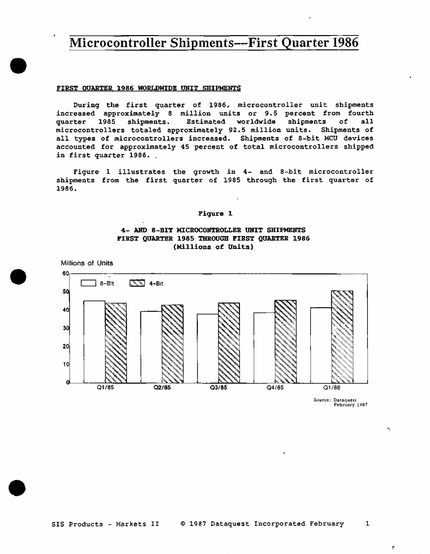#### FIRST QUARTER 1986 WORI.DWIDE UNIT SHIPMENTS

•

•

•

During the first quarter of 1986, microcontroller unit shipments increased approximately 8 million units or 9.5 percent from fourth quarter 1985 shipments. Estimated worldwide shipments of all microcontrollers totaled approximately 92.5 million units. Shipments of all types of microcontrollers increased. Shipments of 8-bit MCU devices accounted for approximately 45 percent of total microcontrollers shipped in first quarter 1986.

Figure 1 illustrates the growth in 4- and 8-bit microcontroller shipments from the first quarter of 1985 through the first quarter of 1986.

#### Figure 1

### 4- AND 8-BIT MICROCONTROLLER UNIT SHIPMENTS FIRST QUARTER 1985 THROUGH FIRST QUARTER 1986 (Millions of Units)



Source: Dataquest<br>February 1987

 $\dot{\mathbf{r}}$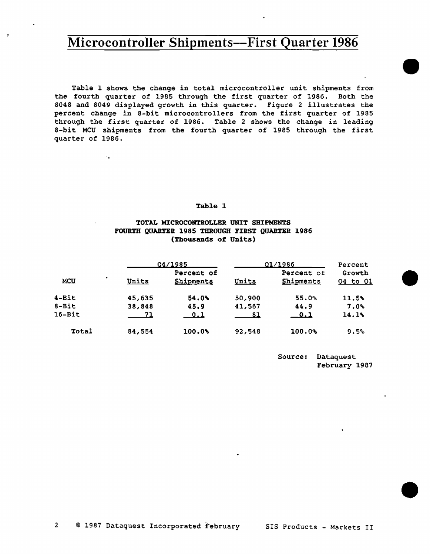Table l shows the change in total microcontroller unit shipments from the fourth quarter of 1985 through the first quarter of 1986. Both the 8048 and 8049 displayed growth in this quarter. Figure 2 illustrates the percent change in 8-bit microcontrollers from the first quarter of 1985 through the first quarter of 1986. Table 2 shows the change in leading 8-bit MCU shipments from the fourth quarter of 1985 through the first quarter of 1986.

#### Table 1

 $\ddot{\phantom{a}}$ 

### TOTAL MICROCONTROLLER UNIT SHIPMENTS FOURTH QUARTER 1985 THROUGH FIRST QUARTER 1986 (Thousands of Units)

|            |   |        | 04/1985                        |        | 01/1986                 |                    |  |
|------------|---|--------|--------------------------------|--------|-------------------------|--------------------|--|
| <b>MCU</b> | ٠ | Units  | Percent of<br><b>Shipments</b> | Units  | Percent of<br>Shipments | Growth<br>04 to 01 |  |
| $4 - Bit$  |   | 45,635 | 54.0%                          | 50,900 | 55.0%                   | 11.5%              |  |
| $8 - Bit$  |   | 38,848 | 45.9                           | 41,567 | 44.9                    | $7.0\%$            |  |
| $16 - Bit$ |   | 71     | 0.1                            | -81    | $-0.1$                  | 14.1%              |  |
| Total      |   | 84,554 | 100.0%                         | 92,548 | 100.0%                  | 9.5%               |  |

Source: Dataquest February 1987 •

•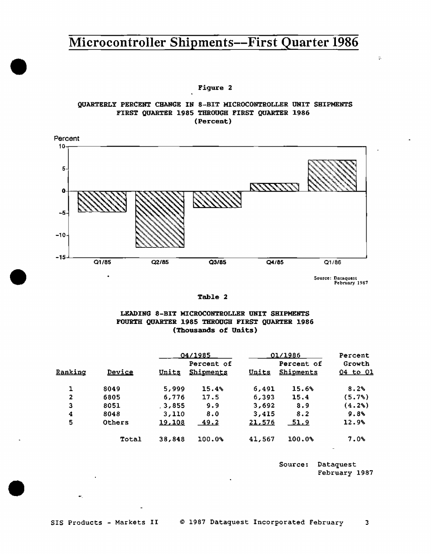#### Figure 2

•

•

•

### QUARTERLY PERCENT CHANGE IN 8-BIT MICROCONTROLLER UNIT SHIPMENTS FIRST QUARTER 1985 THROUGH FIRST QUARTER 1986 (Percent)



Source: Dataquest<br>February 1987

 $\frac{1}{2}$ 

#### Table 2

#### LEADING 8-BIT MICROCONTROLLER UNIT SHIPMENTS FOURTH QUARTER 1985 THROUGH FIRST QUARTER 1986 (Thousands of Units)

|         |        | 04/1985      |                                | 01/1986 | Percent                 |                           |
|---------|--------|--------------|--------------------------------|---------|-------------------------|---------------------------|
| Ranking | Device | <u>Units</u> | Percent of<br><b>Shipments</b> | Units   | Percent of<br>Shipments | Growth<br><u>04 to 01</u> |
|         | 8049   | 5,999        | 15.4%                          | 6,491   | 15.6%                   | 8.2%                      |
| 2       | 6805   | 6.776        | 17.5                           | 6,393   | 15.4                    | (5.7%)                    |
| Э       | 8051   | 3.855        | 9.9                            | 3,692   | 8.9                     | (4.2%)                    |
| 4       | 8048   | 3,110        | 8.0                            | 3,415   | 8.2                     | 9.8%                      |
| 5       | Others | 19,108       | 49.2                           | 21,576  | 51.9                    | 12.9%                     |
|         | Total  | 38,848       | 100.0%                         | 41,567  | 100.0%                  | 7.0%                      |

Source: Dataquest February 1987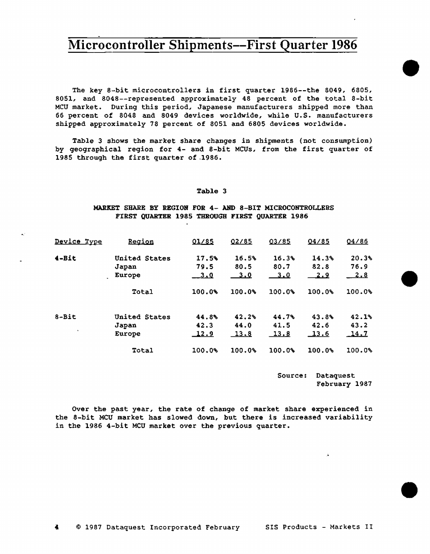The key 8-bit microcontrollers in first quarter 1986--the 8049, 6805, 8051, and 8048--represented approximately 48 percent of the total 8-bit MCU market. During this period, Japanese manufacturers shipped more than 66 percent of 8048 and 8049 devices worldwide, while U.S. manufacturers shipped approximately 78 percent of 8051 and 6805 devices worldwide.

Table 3 shows the market share changes in shipments (not consumption) by geographical region for 4- and 8-bit MCUs, from the first quarter of 1985 through the first quarter of .1986.

#### Table 3

#### MARKET SHARE BY REGION FOR 4- AND 8-BIT MICROCONTROLLERS FIRST QUARTER 1985 THROUGH FIRST QUARTER 1986

·-

| Device Type | Region        | 01/85       | 02/85      | 03/85  | 04/85       | 04/86  |
|-------------|---------------|-------------|------------|--------|-------------|--------|
| $4 - Bit$   | United States | 17.5%       | 16.5%      | 16.3%  | 14.3%       | 20.3%  |
|             | Japan         | 79.5        | 80.5       | 80.7   | 82.8        | 76.9   |
|             | Europe        | __________  | <u>3.0</u> | 3.0    |             | 2.8    |
|             | Total         | 100.0%      | 100.0%     | 100.0% | 100.0%      | 100.0% |
| $8 - Bit$   | United States | 44.8%       | 42.2%      | 44.7%  | 43.8        | 42.1%  |
|             | Japan         | 42.3        | 44.0       | 41.5   | 42.6        | 43.2   |
| $\bullet$   | Europe        | <u>12.9</u> | 13.8       | 13.8   | <u>13.6</u> | 14.7   |
|             | Total         | 100.0%      | 100.0%     | 100.0% | 100.0%      | 100.0% |

Source: Dataquest February 1987 •

•

•

Over the past year, the rate of change of market share experienced in the 8-bit MCU market has slowed down, but there is increased variability in the 1986 4-bit MCU market over the previous quarter.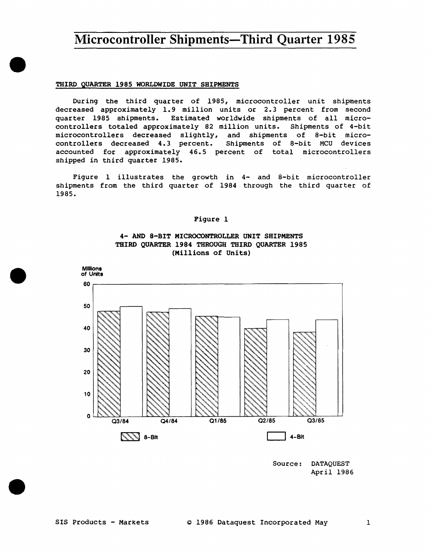#### THIRD QUARTER 1985 WORLDWIDE UNIT SHIPMENTS

•

•

•

During the third quarter of 1985, microcontroller unit shipments decreased approximately 1.9 million units or 2.3 percent from second quarter 1985 shipments. Estimated worldwide shipments of all microcontrollers totaled approximately 82 million units. Shipments of 4-bit microcontrollers decreased slightly, and shipments of 8-bit microcontrollers decreased 4.3 percent. Shipments of 8-bit MCU devices accounted for approximately 46.5 percent of total microcontrollers shipped in third quarter 1985.

Figure l illustrates the growth in 4- and 8-bit microcontroller shipments from the third quarter of 1984 through the third quarter of 1985.

#### Figure l





Source: DATAQUEST April 1986

#### SIS Products - Markets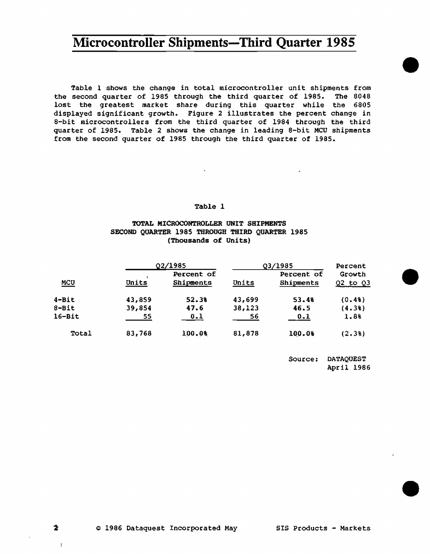Table l shows the change in total microcontroller unit shipments from the second quarter of 1985 through the third quarter of 1985. The 8048 lost the greatest market share during this quarter while the 6805 displayed significant growth. Figure *2* illustrates the percent change in 8-bit microcontrollers from the third quarter of 1984 through the third quarter of 1985. Table 2 shows the change in leading 8-bit MCU shipments from the second quarter of 1985 through the third quarter of 1985.

#### Table 1

#### TOTAL MICROCONTROLLER UNIT SHIPMENTS SECOND QUARTER 1985 THROUGH THIRD QUARTER 1985 (Thousands of Units)

|            | Q2/1985 |                         | Q3/1985 |                         | Percent                |
|------------|---------|-------------------------|---------|-------------------------|------------------------|
| MCU        | Units   | Percent of<br>Shipments | Units   | Percent of<br>Shipments | Growth<br>$Q2$ to $Q3$ |
| $4 - Bit$  | 43,859  | 52.38                   | 43,699  | 53.48                   | (0.48)                 |
| $8 - Bit$  | 39,854  | 47.6                    | 38,123  | 46.5                    | (4.38)                 |
| $16 - Bit$ | 55      | 0.1                     | 56      | 0.1                     | 1.8%                   |
| Total      | 83,768  | 100.0%                  | 81,878  | 100.08                  | (2.38)                 |

Source: DATAQUEST April 1986 •

•

•

 $\mathbf{2}$ 

 $\mathbf{1}$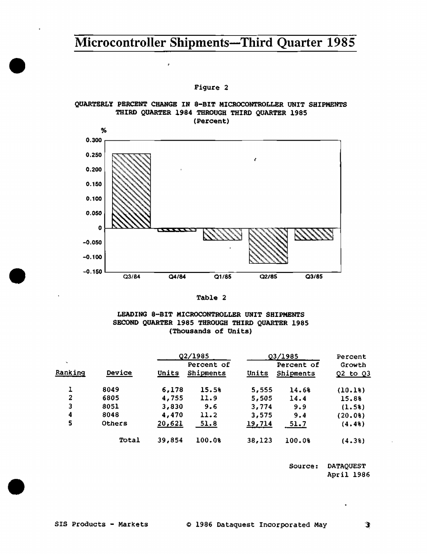#### Figure 2

#### QUARTERLY PERCENT CHANGE IN 8-BIT MICROCONTROLLER UNIT SHIPMENTS THIRD QUARTER 1984 THROUGH THIRD QUARTER 1985 (Percent)



#### Table 2

#### LEADING 8-BIT MICROCONTROLLER UNIT SHIPMENTS SECOND QUARTER 1985 THROUGH THIRD QUARTER 1985 (Thousands of Units)

|                   |        | Q2/1985 |                         | Q3/1985 |                         | Percent              |
|-------------------|--------|---------|-------------------------|---------|-------------------------|----------------------|
| $\sim$<br>Ranking | Device | Units   | Percent of<br>Shipments | Units   | Percent of<br>Shipments | Growth<br>Q2 to $Q3$ |
|                   | 8049   | 6,178   | 15.5%                   | 5,555   | 14.68                   | (10.18)              |
| 2                 | 6805   | 4,755   | 11.9                    | 5,505   | 14.4                    | 15.88                |
| 3                 | 8051   | 3,830   | 9.6                     | 3,774   | 9.9                     | $(1.5*)$             |
| 4                 | 8048   | 4,470   | 11.2                    | 3,575   | 9.4                     | (20.08)              |
| 5                 | Others | 20,621  | 51.8                    | 19,714  | 51.7                    | (4.48)               |
|                   | Total  | 39,854  | 100.0%                  | 38,123  | 100.0%                  | (4.38)               |

Source: OATAQUEST April 1986

•

•